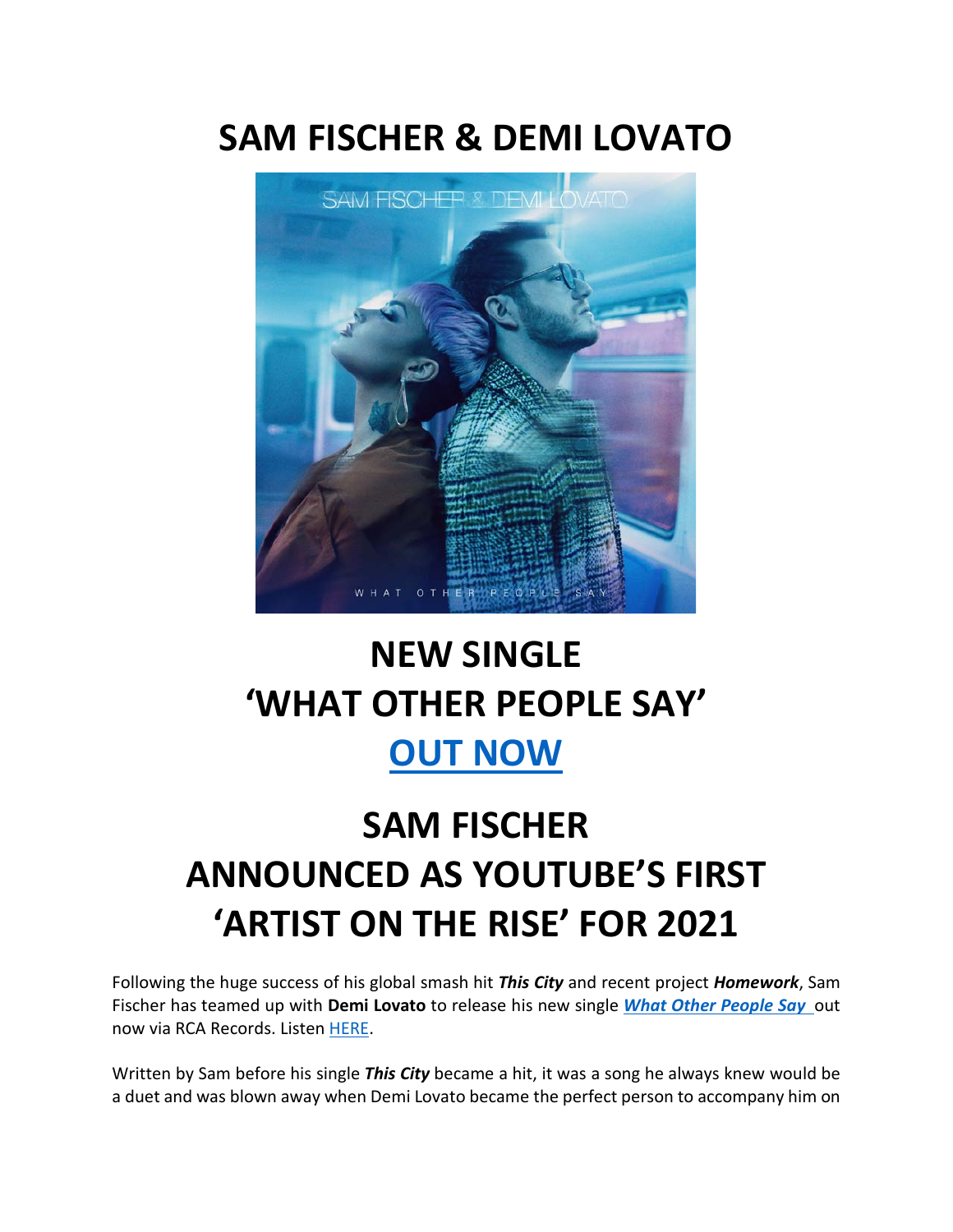### **SAM FISCHER & DEMI LOVATO**



## **NEW SINGLE 'WHAT OTHER PEOPLE SAY' [OUT NOW](https://eur01.safelinks.protection.outlook.com/?url=http%3A%2F%2Fsmfschr.com%2Fwops&data=04%7C01%7Ckirsten.mikkelson%40rcarecords.com%7C8a47a7c461444f082c1008d8c90d5110%7Cf0aff3b791a54aaeaf71c63e1dda2049%7C0%7C0%7C637480406397877753%7CUnknown%7CTWFpbGZsb3d8eyJWIjoiMC4wLjAwMDAiLCJQIjoiV2luMzIiLCJBTiI6Ik1haWwiLCJXVCI6Mn0%3D%7C1000&sdata=ZuGYjmBs0%2BNMU2GsF50XLT8axpr9dRBU6tskGF92KFk%3D&reserved=0)**

# **SAM FISCHER ANNOUNCED AS YOUTUBE'S FIRST 'ARTIST ON THE RISE' FOR 2021**

Following the huge success of his global smash hit *This City* and recent project *Homework*, Sam Fischer has teamed up with **Demi Lovato** to release his new single *[What Other People Say](https://eur01.safelinks.protection.outlook.com/?url=http%3A%2F%2Fsmfschr.com%2Fwops&data=04%7C01%7Ckirsten.mikkelson%40rcarecords.com%7C8a47a7c461444f082c1008d8c90d5110%7Cf0aff3b791a54aaeaf71c63e1dda2049%7C0%7C0%7C637480406397877753%7CUnknown%7CTWFpbGZsb3d8eyJWIjoiMC4wLjAwMDAiLCJQIjoiV2luMzIiLCJBTiI6Ik1haWwiLCJXVCI6Mn0%3D%7C1000&sdata=ZuGYjmBs0%2BNMU2GsF50XLT8axpr9dRBU6tskGF92KFk%3D&reserved=0)* out now via RCA Records. Listen [HERE.](https://eur01.safelinks.protection.outlook.com/?url=http%3A%2F%2Fsmfschr.com%2Fwops&data=04%7C01%7Ckirsten.mikkelson%40rcarecords.com%7C8a47a7c461444f082c1008d8c90d5110%7Cf0aff3b791a54aaeaf71c63e1dda2049%7C0%7C0%7C637480406397887748%7CUnknown%7CTWFpbGZsb3d8eyJWIjoiMC4wLjAwMDAiLCJQIjoiV2luMzIiLCJBTiI6Ik1haWwiLCJXVCI6Mn0%3D%7C1000&sdata=abJHuyRKixhA4kJKTauOIHsdlQv6GhDMXZ%2BdzimgD6I%3D&reserved=0)

Written by Sam before his single *This City* became a hit, it was a song he always knew would be a duet and was blown away when Demi Lovato became the perfect person to accompany him on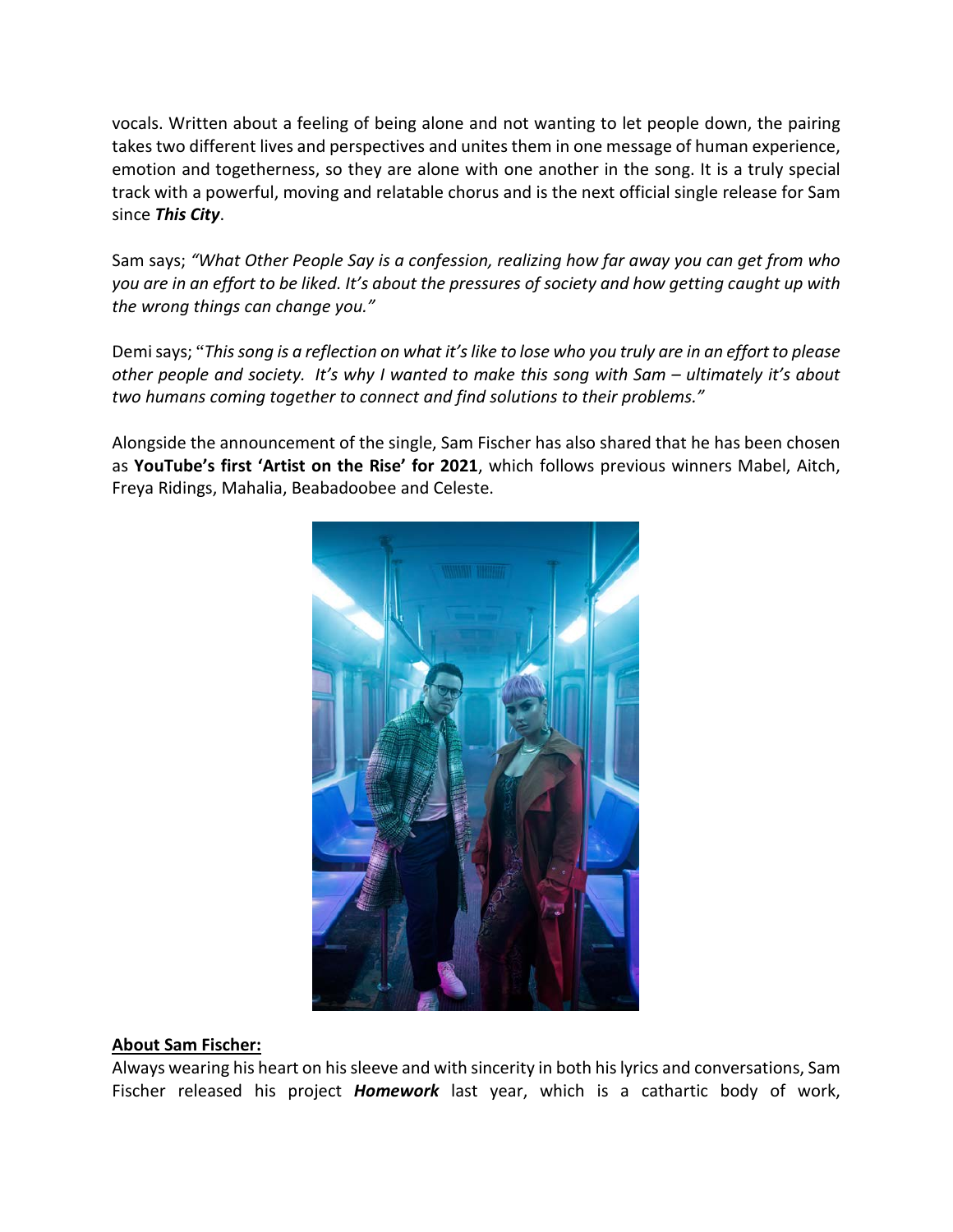vocals. Written about a feeling of being alone and not wanting to let people down, the pairing takes two different lives and perspectives and unites them in one message of human experience, emotion and togetherness, so they are alone with one another in the song. It is a truly special track with a powerful, moving and relatable chorus and is the next official single release for Sam since *This City*.

Sam says; *"What Other People Say is a confession, realizing how far away you can get from who you are in an effort to be liked. It's about the pressures of society and how getting caught up with the wrong things can change you."*

Demi says; "*This song is a reflection on what it's like to lose who you truly are in an effort to please other people and society. It's why I wanted to make this song with Sam – ultimately it's about two humans coming together to connect and find solutions to their problems."*

Alongside the announcement of the single, Sam Fischer has also shared that he has been chosen as **YouTube's first 'Artist on the Rise' for 2021**, which follows previous winners Mabel, Aitch, Freya Ridings, Mahalia, Beabadoobee and Celeste.



#### **About Sam Fischer:**

Always wearing his heart on his sleeve and with sincerity in both his lyrics and conversations, Sam Fischer released his project *Homework* last year, which is a cathartic body of work,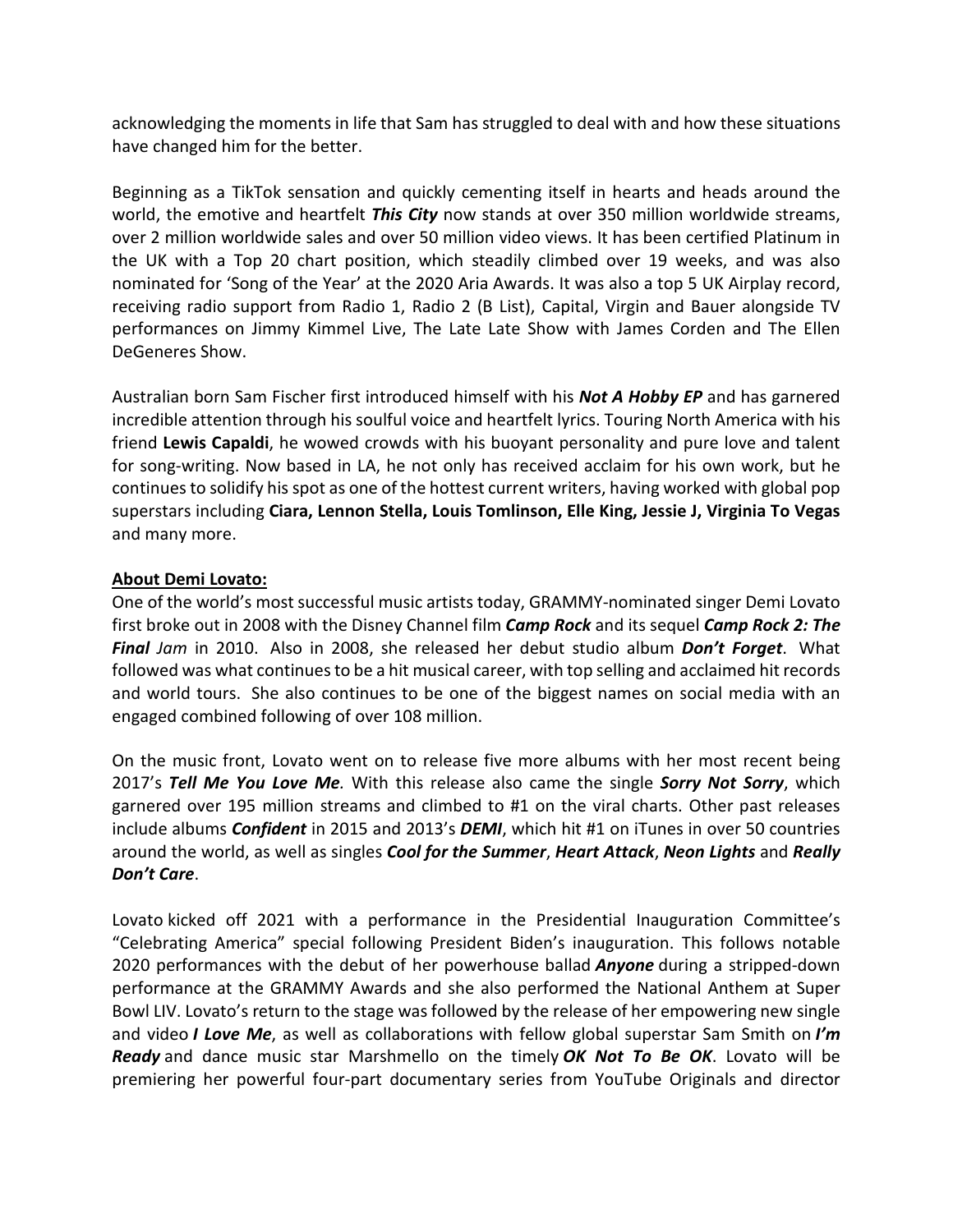acknowledging the moments in life that Sam has struggled to deal with and how these situations have changed him for the better.

Beginning as a TikTok sensation and quickly cementing itself in hearts and heads around the world, the emotive and heartfelt *This City* now stands at over 350 million worldwide streams, over 2 million worldwide sales and over 50 million video views. It has been certified Platinum in the UK with a Top 20 chart position, which steadily climbed over 19 weeks, and was also nominated for 'Song of the Year' at the 2020 Aria Awards. It was also a top 5 UK Airplay record, receiving radio support from Radio 1, Radio 2 (B List), Capital, Virgin and Bauer alongside TV performances on Jimmy Kimmel Live, The Late Late Show with James Corden and The Ellen DeGeneres Show.

Australian born Sam Fischer first introduced himself with his *Not A Hobby EP* and has garnered incredible attention through his soulful voice and heartfelt lyrics. Touring North America with his friend **Lewis Capaldi**, he wowed crowds with his buoyant personality and pure love and talent for song-writing. Now based in LA, he not only has received acclaim for his own work, but he continues to solidify his spot as one of the hottest current writers, having worked with global pop superstars including **Ciara, Lennon Stella, Louis Tomlinson, Elle King, Jessie J, Virginia To Vegas**  and many more.

### **About Demi Lovato:**

One of the world's most successful music artists today, GRAMMY-nominated singer Demi Lovato first broke out in 2008 with the Disney Channel film *Camp Rock* and its sequel *Camp Rock 2: The Final Jam* in 2010. Also in 2008, she released her debut studio album *Don't Forget*. What followed was what continues to be a hit musical career, with top selling and acclaimed hit records and world tours. She also continues to be one of the biggest names on social media with an engaged combined following of over 108 million.

On the music front, Lovato went on to release five more albums with her most recent being 2017's *Tell Me You Love Me.* With this release also came the single *Sorry Not Sorry*, which garnered over 195 million streams and climbed to #1 on the viral charts. Other past releases include albums *Confident* in 2015 and 2013's *DEMI*, which hit #1 on iTunes in over 50 countries around the world, as well as singles *Cool for the Summer*, *Heart Attack*, *Neon Lights* and *Really Don't Care*.

Lovato kicked off 2021 with a performance in the Presidential Inauguration Committee's "Celebrating America" special following President Biden's inauguration. This follows notable 2020 performances with the debut of her powerhouse ballad *Anyone* during a stripped-down performance at the GRAMMY Awards and she also performed the National Anthem at Super Bowl LIV. Lovato's return to the stage was followed by the release of her empowering new single and video *I Love Me*, as well as collaborations with fellow global superstar Sam Smith on *I'm Ready* and dance music star Marshmello on the timely *OK Not To Be OK*. Lovato will be premiering her powerful four-part documentary series from YouTube Originals and director